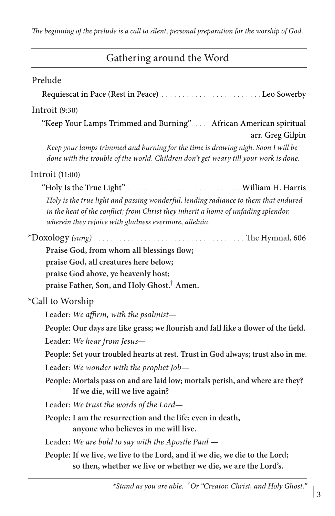| Gathering around the Word |  |  |  |
|---------------------------|--|--|--|
|---------------------------|--|--|--|

| Prelude                                                                                                                                                                                                                             |
|-------------------------------------------------------------------------------------------------------------------------------------------------------------------------------------------------------------------------------------|
|                                                                                                                                                                                                                                     |
| Introit $(9:30)$                                                                                                                                                                                                                    |
| "Keep Your Lamps Trimmed and Burning" African American spiritual<br>arr. Greg Gilpin                                                                                                                                                |
| Keep your lamps trimmed and burning for the time is drawing nigh. Soon I will be<br>done with the trouble of the world. Children don't get weary till your work is done.                                                            |
| Introit $(11:00)$                                                                                                                                                                                                                   |
|                                                                                                                                                                                                                                     |
| Holy is the true light and passing wonderful, lending radiance to them that endured<br>in the heat of the conflict; from Christ they inherit a home of unfading splendor,<br>wherein they rejoice with gladness evermore, alleluia. |
|                                                                                                                                                                                                                                     |
| Praise God, from whom all blessings flow;                                                                                                                                                                                           |
| praise God, all creatures here below;                                                                                                                                                                                               |
| praise God above, ye heavenly host;                                                                                                                                                                                                 |
| praise Father, Son, and Holy Ghost. <sup>†</sup> Amen.                                                                                                                                                                              |
| *Call to Worship                                                                                                                                                                                                                    |
| Leader: We affirm, with the psalmist-                                                                                                                                                                                               |
| People: Our days are like grass; we flourish and fall like a flower of the field.                                                                                                                                                   |
| Leader: We hear from Jesus-                                                                                                                                                                                                         |
| People: Set your troubled hearts at rest. Trust in God always; trust also in me.                                                                                                                                                    |
| Leader: We wonder with the prophet Job-                                                                                                                                                                                             |
| People: Mortals pass on and are laid low; mortals perish, and where are they?<br>If we die, will we live again?                                                                                                                     |
| Leader: We trust the words of the Lord-                                                                                                                                                                                             |
| People: I am the resurrection and the life; even in death,<br>anyone who believes in me will live.                                                                                                                                  |
| Leader: We are bold to say with the Apostle Paul -                                                                                                                                                                                  |
| People: If we live, we live to the Lord, and if we die, we die to the Lord;<br>so then, whether we live or whether we die, we are the Lord's.                                                                                       |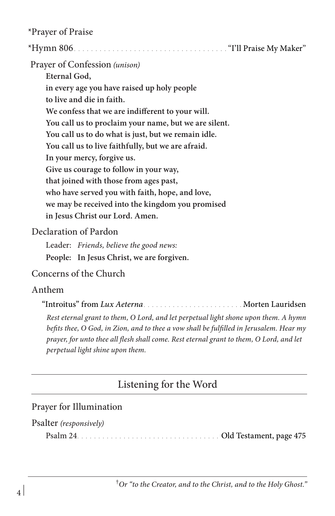\*Prayer of Praise

| Prayer of Confession (unison)                         |
|-------------------------------------------------------|
| Eternal God,                                          |
| in every age you have raised up holy people           |
| to live and die in faith.                             |
| We confess that we are indifferent to your will.      |
| You call us to proclaim your name, but we are silent. |
| You call us to do what is just, but we remain idle.   |
| You call us to live faithfully, but we are afraid.    |
| In your mercy, forgive us.                            |
| Give us courage to follow in your way,                |
| that joined with those from ages past,                |
| who have served you with faith, hope, and love,       |
| we may be received into the kingdom you promised      |
| in Jesus Christ our Lord. Amen.                       |
| Declaration of Pardon                                 |
| Leader: Friends, believe the good news:               |
| People: In Jesus Christ, we are forgiven.             |

## Concerns of the Church

## Anthem

"Introitus" from *Lux Aeterna* Music Communication Morten Lauridsen

*Rest eternal grant to them, O Lord, and let perpetual light shone upon them. A hymn befits thee, O God, in Zion, and to thee a vow shall be fulfilled in Jerusalem. Hear my prayer, for unto thee all flesh shall come. Rest eternal grant to them, O Lord, and let perpetual light shine upon them.*

# Listening for the Word

## Prayer for Illumination

#### Psalter *(responsively)*

Psalm 24 Old Testament, page 475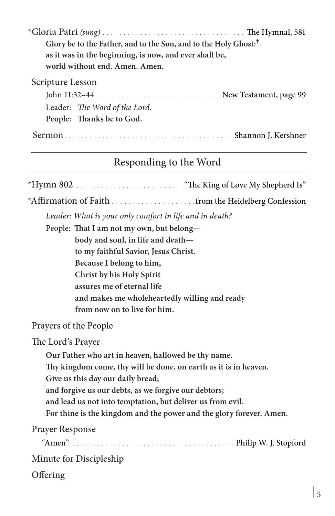| Glory be to the Father, and to the Son, and to the Holy Ghost: <sup>†</sup> |  |  |
|-----------------------------------------------------------------------------|--|--|
| as it was in the beginning, is now, and ever shall be,                      |  |  |
| world without end. Amen. Amen.                                              |  |  |
| Scripture Lesson                                                            |  |  |
|                                                                             |  |  |
| Leader: The Word of the Lord.                                               |  |  |
| People: Thanks be to God.                                                   |  |  |
|                                                                             |  |  |

# Responding to the Word

\*Hymn 802 "The King of Love My Shepherd Is"

\*Affirmation of Faith . . . . . . . . . . . . . . . . . . . .from the Heidelberg Confession

*Leader: What is your only comfort in life and in death?*

People: **That I am not my own, but belong body and soul, in life and death to my faithful Savior, Jesus Christ. Because I belong to him, Christ by his Holy Spirit assures me of eternal life and makes me wholeheartedly willing and ready from now on to live for him.** 

Prayers of the People

The Lord's Prayer

**Our Father who art in heaven, hallowed be thy name.** 

**Thy kingdom come, thy will be done, on earth as it is in heaven.** 

**Give us this day our daily bread;** 

**and forgive us our debts, as we forgive our debtors;** 

**and lead us not into temptation, but deliver us from evil.** 

**For thine is the kingdom and the power and the glory forever. Amen.** 

 Prayer Response "Amen" Philip W. J. Stopford Minute for Discipleship **Offering**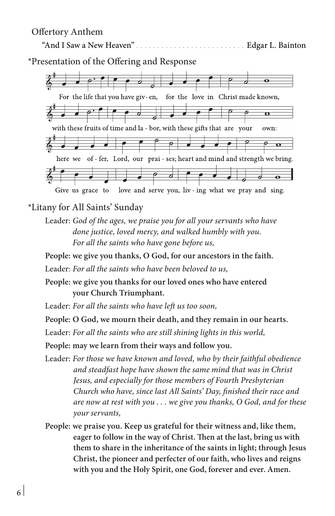#### Offertory Anthem



\*Litany for All Saints' Sunday

- Leader: *God of the ages, we praise you for all your servants who have done justice, loved mercy, and walked humbly with you. For all the saints who have gone before us,*
- **People: we give you thanks, O God, for our ancestors in the faith.**

Leader: *For all the saints who have been beloved to us,* 

- **People: we give you thanks for our loved ones who have entered your Church Triumphant.**
- Leader: *For all the saints who have left us too soon,*

**People: O God, we mourn their death, and they remain in our hearts.** 

Leader: *For all the saints who are still shining lights in this world,*

**People: may we learn from their ways and follow you.**

- Leader: *For those we have known and loved, who by their faithful obedience and steadfast hope have shown the same mind that was in Christ Jesus, and especially for those members of Fourth Presbyterian Church who have, since last All Saints' Day, finished their race and are now at rest with you . . . we give you thanks, O God, and for these your servants,*
- **People: we praise you. Keep us grateful for their witness and, like them, eager to follow in the way of Christ. Then at the last, bring us with them to share in the inheritance of the saints in light; through Jesus Christ, the pioneer and perfecter of our faith, who lives and reigns with you and the Holy Spirit, one God, forever and ever. Amen.**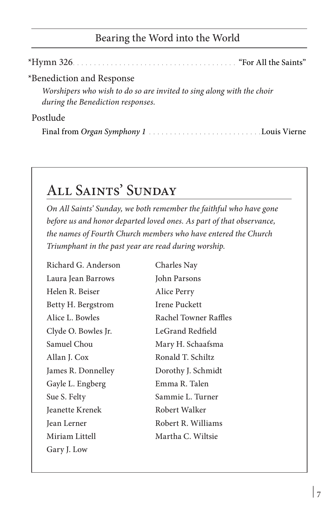# Bearing the Word into the World

| *Benediction and Response                                                                                  |
|------------------------------------------------------------------------------------------------------------|
| Worshipers who wish to do so are invited to sing along with the choir<br>during the Benediction responses. |
| Postlude                                                                                                   |
|                                                                                                            |

# All Saints' Sunday

*On All Saints' Sunday, we both remember the faithful who have gone before us and honor departed loved ones. As part of that observance, the names of Fourth Church members who have entered the Church Triumphant in the past year are read during worship.*

Richard G. Anderson Laura Jean Barrows Helen R. Beiser Betty H. Bergstrom Alice L. Bowles Clyde O. Bowles Jr. Samuel Chou Allan J. Cox James R. Donnelley Gayle L. Engberg Sue S. Felty Jeanette Krenek Jean Lerner Miriam Littell Gary J. Low

Charles Nay John Parsons Alice Perry Irene Puckett Rachel Towner Raffles LeGrand Redfield Mary H. Schaafsma Ronald T. Schiltz Dorothy J. Schmidt Emma R. Talen Sammie L. Turner Robert Walker Robert R. Williams Martha C. Wiltsie